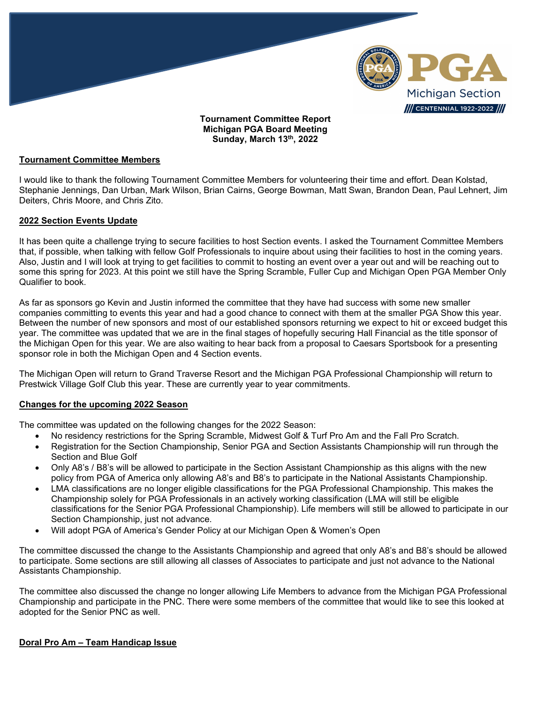

**Michigan PGA Board Meeting Sunday, March 13th, 2022**

### **Tournament Committee Members**

I would like to thank the following Tournament Committee Members for volunteering their time and effort. Dean Kolstad, Stephanie Jennings, Dan Urban, Mark Wilson, Brian Cairns, George Bowman, Matt Swan, Brandon Dean, Paul Lehnert, Jim Deiters, Chris Moore, and Chris Zito.

## **2022 Section Events Update**

It has been quite a challenge trying to secure facilities to host Section events. I asked the Tournament Committee Members that, if possible, when talking with fellow Golf Professionals to inquire about using their facilities to host in the coming years. Also, Justin and I will look at trying to get facilities to commit to hosting an event over a year out and will be reaching out to some this spring for 2023. At this point we still have the Spring Scramble, Fuller Cup and Michigan Open PGA Member Only Qualifier to book.

As far as sponsors go Kevin and Justin informed the committee that they have had success with some new smaller companies committing to events this year and had a good chance to connect with them at the smaller PGA Show this year. Between the number of new sponsors and most of our established sponsors returning we expect to hit or exceed budget this year. The committee was updated that we are in the final stages of hopefully securing Hall Financial as the title sponsor of the Michigan Open for this year. We are also waiting to hear back from a proposal to Caesars Sportsbook for a presenting sponsor role in both the Michigan Open and 4 Section events.

The Michigan Open will return to Grand Traverse Resort and the Michigan PGA Professional Championship will return to Prestwick Village Golf Club this year. These are currently year to year commitments.

#### **Changes for the upcoming 2022 Season**

The committee was updated on the following changes for the 2022 Season:

- No residency restrictions for the Spring Scramble, Midwest Golf & Turf Pro Am and the Fall Pro Scratch.
- Registration for the Section Championship, Senior PGA and Section Assistants Championship will run through the Section and Blue Golf
- Only A8's / B8's will be allowed to participate in the Section Assistant Championship as this aligns with the new policy from PGA of America only allowing A8's and B8's to participate in the National Assistants Championship.
- LMA classifications are no longer eligible classifications for the PGA Professional Championship. This makes the Championship solely for PGA Professionals in an actively working classification (LMA will still be eligible classifications for the Senior PGA Professional Championship). Life members will still be allowed to participate in our Section Championship, just not advance.
- Will adopt PGA of America's Gender Policy at our Michigan Open & Women's Open

The committee discussed the change to the Assistants Championship and agreed that only A8's and B8's should be allowed to participate. Some sections are still allowing all classes of Associates to participate and just not advance to the National Assistants Championship.

The committee also discussed the change no longer allowing Life Members to advance from the Michigan PGA Professional Championship and participate in the PNC. There were some members of the committee that would like to see this looked at adopted for the Senior PNC as well.

## **Doral Pro Am – Team Handicap Issue**